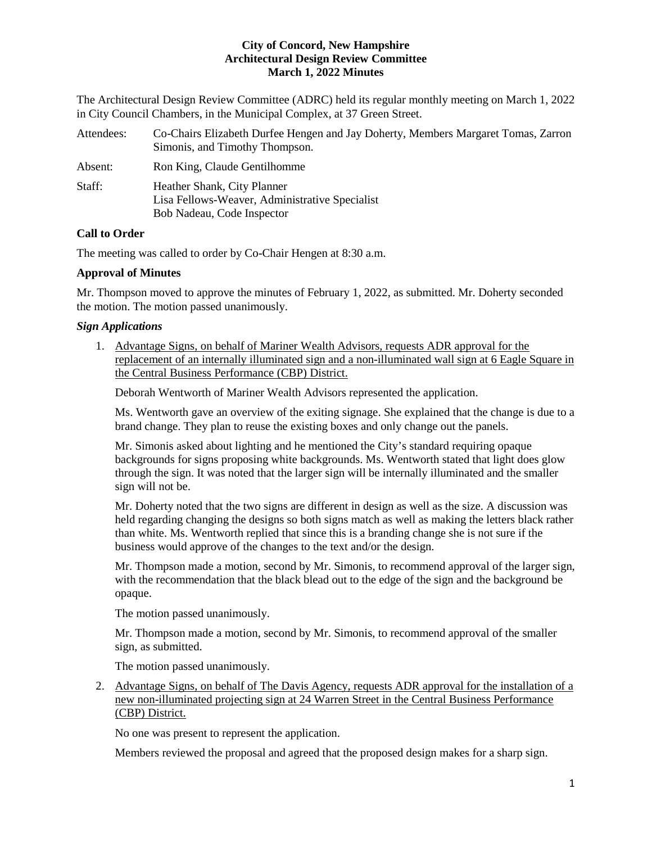The Architectural Design Review Committee (ADRC) held its regular monthly meeting on March 1, 2022 in City Council Chambers, in the Municipal Complex, at 37 Green Street.

| Attendees: | Co-Chairs Elizabeth Durfee Hengen and Jay Doherty, Members Margaret Tomas, Zarron<br>Simonis, and Timothy Thompson. |
|------------|---------------------------------------------------------------------------------------------------------------------|
| Absent:    | Ron King, Claude Gentilhomme                                                                                        |
| Staff:     | Heather Shank, City Planner<br>Lisa Fellows-Weaver, Administrative Specialist<br>Bob Nadeau, Code Inspector         |

# **Call to Order**

The meeting was called to order by Co-Chair Hengen at 8:30 a.m.

## **Approval of Minutes**

Mr. Thompson moved to approve the minutes of February 1, 2022, as submitted. Mr. Doherty seconded the motion. The motion passed unanimously.

## *Sign Applications*

1. Advantage Signs, on behalf of Mariner Wealth Advisors, requests ADR approval for the replacement of an internally illuminated sign and a non-illuminated wall sign at 6 Eagle Square in the Central Business Performance (CBP) District.

Deborah Wentworth of Mariner Wealth Advisors represented the application.

Ms. Wentworth gave an overview of the exiting signage. She explained that the change is due to a brand change. They plan to reuse the existing boxes and only change out the panels.

Mr. Simonis asked about lighting and he mentioned the City's standard requiring opaque backgrounds for signs proposing white backgrounds. Ms. Wentworth stated that light does glow through the sign. It was noted that the larger sign will be internally illuminated and the smaller sign will not be.

Mr. Doherty noted that the two signs are different in design as well as the size. A discussion was held regarding changing the designs so both signs match as well as making the letters black rather than white. Ms. Wentworth replied that since this is a branding change she is not sure if the business would approve of the changes to the text and/or the design.

Mr. Thompson made a motion, second by Mr. Simonis, to recommend approval of the larger sign, with the recommendation that the black blead out to the edge of the sign and the background be opaque.

The motion passed unanimously.

Mr. Thompson made a motion, second by Mr. Simonis, to recommend approval of the smaller sign, as submitted.

The motion passed unanimously.

2. Advantage Signs, on behalf of The Davis Agency, requests ADR approval for the installation of a new non-illuminated projecting sign at 24 Warren Street in the Central Business Performance (CBP) District.

No one was present to represent the application.

Members reviewed the proposal and agreed that the proposed design makes for a sharp sign.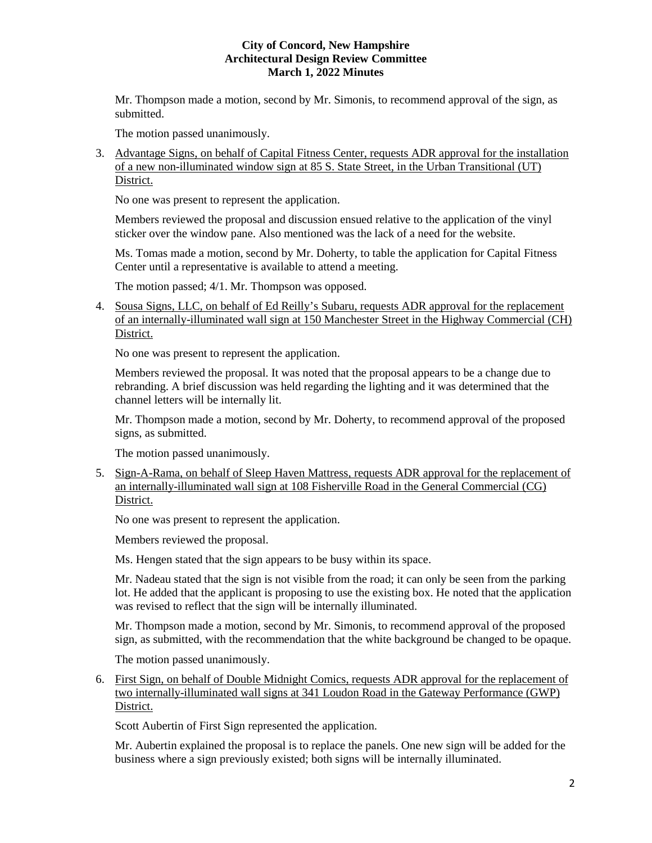Mr. Thompson made a motion, second by Mr. Simonis, to recommend approval of the sign, as submitted.

The motion passed unanimously.

3. Advantage Signs, on behalf of Capital Fitness Center, requests ADR approval for the installation of a new non-illuminated window sign at 85 S. State Street, in the Urban Transitional (UT) District.

No one was present to represent the application.

Members reviewed the proposal and discussion ensued relative to the application of the vinyl sticker over the window pane. Also mentioned was the lack of a need for the website.

Ms. Tomas made a motion, second by Mr. Doherty, to table the application for Capital Fitness Center until a representative is available to attend a meeting.

The motion passed; 4/1. Mr. Thompson was opposed.

4. Sousa Signs, LLC, on behalf of Ed Reilly's Subaru, requests ADR approval for the replacement of an internally-illuminated wall sign at 150 Manchester Street in the Highway Commercial (CH) District.

No one was present to represent the application.

Members reviewed the proposal. It was noted that the proposal appears to be a change due to rebranding. A brief discussion was held regarding the lighting and it was determined that the channel letters will be internally lit.

Mr. Thompson made a motion, second by Mr. Doherty, to recommend approval of the proposed signs, as submitted.

The motion passed unanimously.

5. Sign-A-Rama, on behalf of Sleep Haven Mattress, requests ADR approval for the replacement of an internally-illuminated wall sign at 108 Fisherville Road in the General Commercial (CG) District.

No one was present to represent the application.

Members reviewed the proposal.

Ms. Hengen stated that the sign appears to be busy within its space.

Mr. Nadeau stated that the sign is not visible from the road; it can only be seen from the parking lot. He added that the applicant is proposing to use the existing box. He noted that the application was revised to reflect that the sign will be internally illuminated.

Mr. Thompson made a motion, second by Mr. Simonis, to recommend approval of the proposed sign, as submitted, with the recommendation that the white background be changed to be opaque.

The motion passed unanimously.

6. First Sign, on behalf of Double Midnight Comics, requests ADR approval for the replacement of two internally-illuminated wall signs at 341 Loudon Road in the Gateway Performance (GWP) District.

Scott Aubertin of First Sign represented the application.

Mr. Aubertin explained the proposal is to replace the panels. One new sign will be added for the business where a sign previously existed; both signs will be internally illuminated.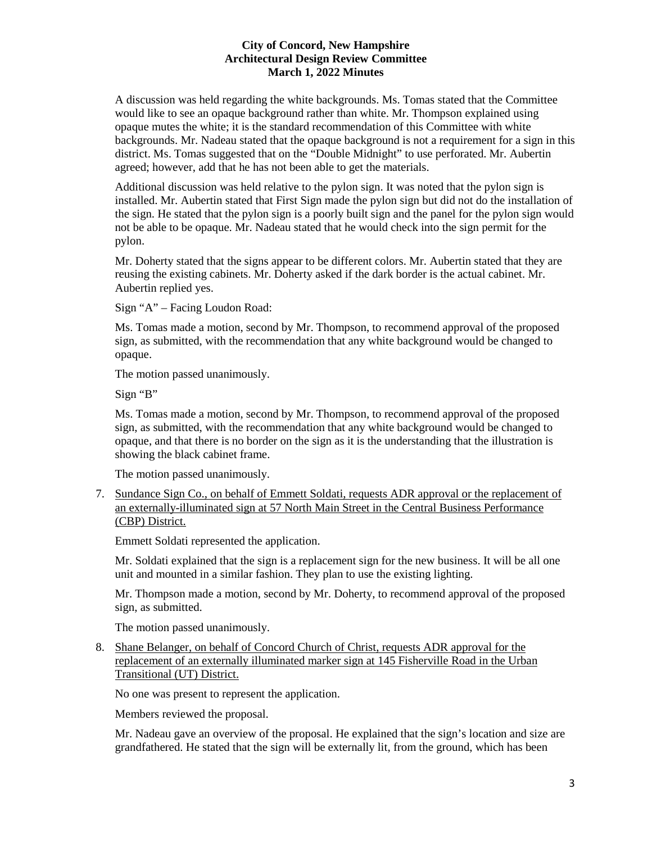A discussion was held regarding the white backgrounds. Ms. Tomas stated that the Committee would like to see an opaque background rather than white. Mr. Thompson explained using opaque mutes the white; it is the standard recommendation of this Committee with white backgrounds. Mr. Nadeau stated that the opaque background is not a requirement for a sign in this district. Ms. Tomas suggested that on the "Double Midnight" to use perforated. Mr. Aubertin agreed; however, add that he has not been able to get the materials.

Additional discussion was held relative to the pylon sign. It was noted that the pylon sign is installed. Mr. Aubertin stated that First Sign made the pylon sign but did not do the installation of the sign. He stated that the pylon sign is a poorly built sign and the panel for the pylon sign would not be able to be opaque. Mr. Nadeau stated that he would check into the sign permit for the pylon.

Mr. Doherty stated that the signs appear to be different colors. Mr. Aubertin stated that they are reusing the existing cabinets. Mr. Doherty asked if the dark border is the actual cabinet. Mr. Aubertin replied yes.

Sign "A" – Facing Loudon Road:

Ms. Tomas made a motion, second by Mr. Thompson, to recommend approval of the proposed sign, as submitted, with the recommendation that any white background would be changed to opaque.

The motion passed unanimously.

Sign "B"

Ms. Tomas made a motion, second by Mr. Thompson, to recommend approval of the proposed sign, as submitted, with the recommendation that any white background would be changed to opaque, and that there is no border on the sign as it is the understanding that the illustration is showing the black cabinet frame.

The motion passed unanimously.

7. Sundance Sign Co., on behalf of Emmett Soldati, requests ADR approval or the replacement of an externally-illuminated sign at 57 North Main Street in the Central Business Performance (CBP) District.

Emmett Soldati represented the application.

Mr. Soldati explained that the sign is a replacement sign for the new business. It will be all one unit and mounted in a similar fashion. They plan to use the existing lighting.

Mr. Thompson made a motion, second by Mr. Doherty, to recommend approval of the proposed sign, as submitted.

The motion passed unanimously.

8. Shane Belanger, on behalf of Concord Church of Christ, requests ADR approval for the replacement of an externally illuminated marker sign at 145 Fisherville Road in the Urban Transitional (UT) District.

No one was present to represent the application.

Members reviewed the proposal.

Mr. Nadeau gave an overview of the proposal. He explained that the sign's location and size are grandfathered. He stated that the sign will be externally lit, from the ground, which has been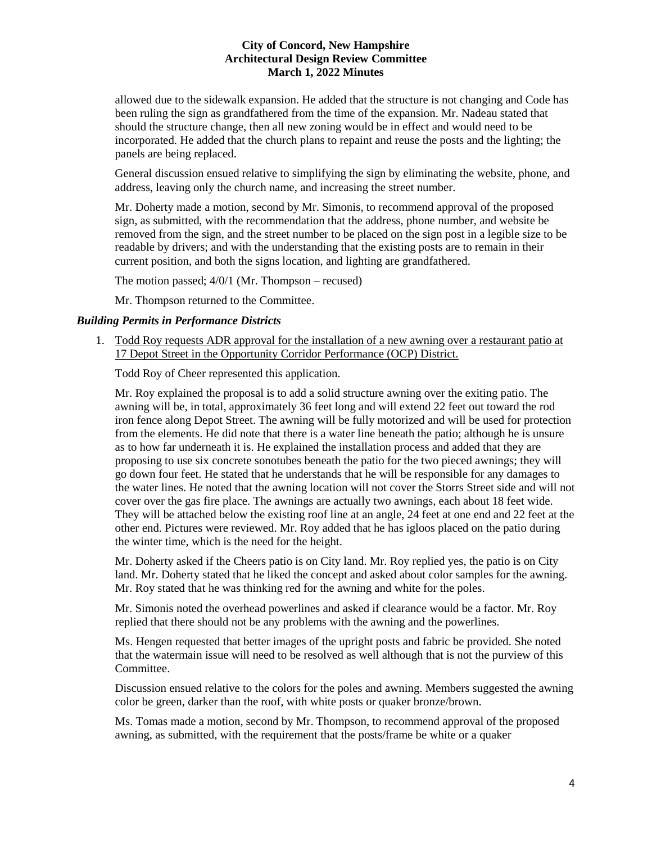allowed due to the sidewalk expansion. He added that the structure is not changing and Code has been ruling the sign as grandfathered from the time of the expansion. Mr. Nadeau stated that should the structure change, then all new zoning would be in effect and would need to be incorporated. He added that the church plans to repaint and reuse the posts and the lighting; the panels are being replaced.

General discussion ensued relative to simplifying the sign by eliminating the website, phone, and address, leaving only the church name, and increasing the street number.

Mr. Doherty made a motion, second by Mr. Simonis, to recommend approval of the proposed sign, as submitted, with the recommendation that the address, phone number, and website be removed from the sign, and the street number to be placed on the sign post in a legible size to be readable by drivers; and with the understanding that the existing posts are to remain in their current position, and both the signs location, and lighting are grandfathered.

The motion passed; 4/0/1 (Mr. Thompson – recused)

Mr. Thompson returned to the Committee.

### *Building Permits in Performance Districts*

1. Todd Roy requests ADR approval for the installation of a new awning over a restaurant patio at 17 Depot Street in the Opportunity Corridor Performance (OCP) District.

Todd Roy of Cheer represented this application.

Mr. Roy explained the proposal is to add a solid structure awning over the exiting patio. The awning will be, in total, approximately 36 feet long and will extend 22 feet out toward the rod iron fence along Depot Street. The awning will be fully motorized and will be used for protection from the elements. He did note that there is a water line beneath the patio; although he is unsure as to how far underneath it is. He explained the installation process and added that they are proposing to use six concrete sonotubes beneath the patio for the two pieced awnings; they will go down four feet. He stated that he understands that he will be responsible for any damages to the water lines. He noted that the awning location will not cover the Storrs Street side and will not cover over the gas fire place. The awnings are actually two awnings, each about 18 feet wide. They will be attached below the existing roof line at an angle, 24 feet at one end and 22 feet at the other end. Pictures were reviewed. Mr. Roy added that he has igloos placed on the patio during the winter time, which is the need for the height.

Mr. Doherty asked if the Cheers patio is on City land. Mr. Roy replied yes, the patio is on City land. Mr. Doherty stated that he liked the concept and asked about color samples for the awning. Mr. Roy stated that he was thinking red for the awning and white for the poles.

Mr. Simonis noted the overhead powerlines and asked if clearance would be a factor. Mr. Roy replied that there should not be any problems with the awning and the powerlines.

Ms. Hengen requested that better images of the upright posts and fabric be provided. She noted that the watermain issue will need to be resolved as well although that is not the purview of this Committee.

Discussion ensued relative to the colors for the poles and awning. Members suggested the awning color be green, darker than the roof, with white posts or quaker bronze/brown.

Ms. Tomas made a motion, second by Mr. Thompson, to recommend approval of the proposed awning, as submitted, with the requirement that the posts/frame be white or a quaker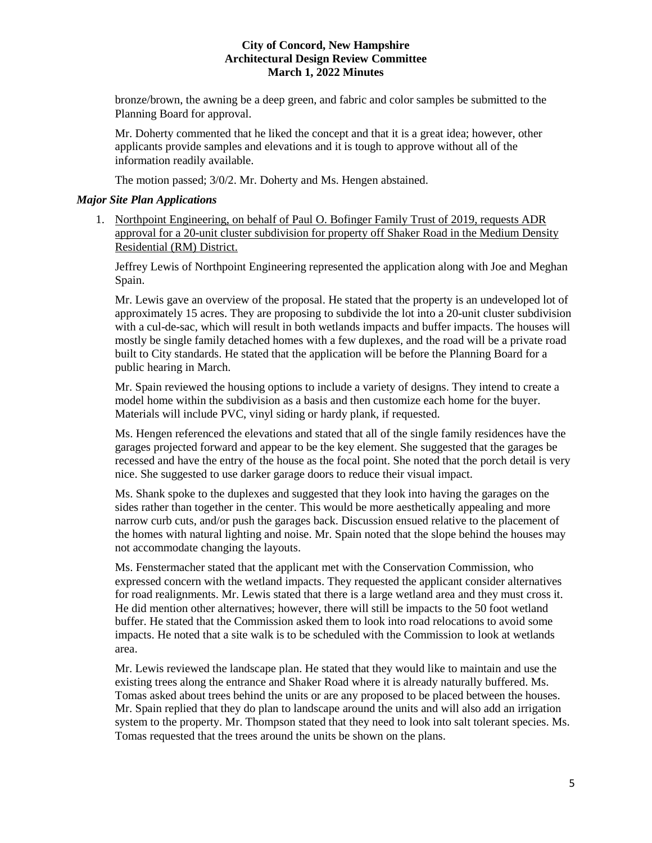bronze/brown, the awning be a deep green, and fabric and color samples be submitted to the Planning Board for approval.

Mr. Doherty commented that he liked the concept and that it is a great idea; however, other applicants provide samples and elevations and it is tough to approve without all of the information readily available.

The motion passed; 3/0/2. Mr. Doherty and Ms. Hengen abstained.

## *Major Site Plan Applications*

1. Northpoint Engineering, on behalf of Paul O. Bofinger Family Trust of 2019, requests ADR approval for a 20-unit cluster subdivision for property off Shaker Road in the Medium Density Residential (RM) District.

Jeffrey Lewis of Northpoint Engineering represented the application along with Joe and Meghan Spain.

Mr. Lewis gave an overview of the proposal. He stated that the property is an undeveloped lot of approximately 15 acres. They are proposing to subdivide the lot into a 20-unit cluster subdivision with a cul-de-sac, which will result in both wetlands impacts and buffer impacts. The houses will mostly be single family detached homes with a few duplexes, and the road will be a private road built to City standards. He stated that the application will be before the Planning Board for a public hearing in March.

Mr. Spain reviewed the housing options to include a variety of designs. They intend to create a model home within the subdivision as a basis and then customize each home for the buyer. Materials will include PVC, vinyl siding or hardy plank, if requested.

Ms. Hengen referenced the elevations and stated that all of the single family residences have the garages projected forward and appear to be the key element. She suggested that the garages be recessed and have the entry of the house as the focal point. She noted that the porch detail is very nice. She suggested to use darker garage doors to reduce their visual impact.

Ms. Shank spoke to the duplexes and suggested that they look into having the garages on the sides rather than together in the center. This would be more aesthetically appealing and more narrow curb cuts, and/or push the garages back. Discussion ensued relative to the placement of the homes with natural lighting and noise. Mr. Spain noted that the slope behind the houses may not accommodate changing the layouts.

Ms. Fenstermacher stated that the applicant met with the Conservation Commission, who expressed concern with the wetland impacts. They requested the applicant consider alternatives for road realignments. Mr. Lewis stated that there is a large wetland area and they must cross it. He did mention other alternatives; however, there will still be impacts to the 50 foot wetland buffer. He stated that the Commission asked them to look into road relocations to avoid some impacts. He noted that a site walk is to be scheduled with the Commission to look at wetlands area.

Mr. Lewis reviewed the landscape plan. He stated that they would like to maintain and use the existing trees along the entrance and Shaker Road where it is already naturally buffered. Ms. Tomas asked about trees behind the units or are any proposed to be placed between the houses. Mr. Spain replied that they do plan to landscape around the units and will also add an irrigation system to the property. Mr. Thompson stated that they need to look into salt tolerant species. Ms. Tomas requested that the trees around the units be shown on the plans.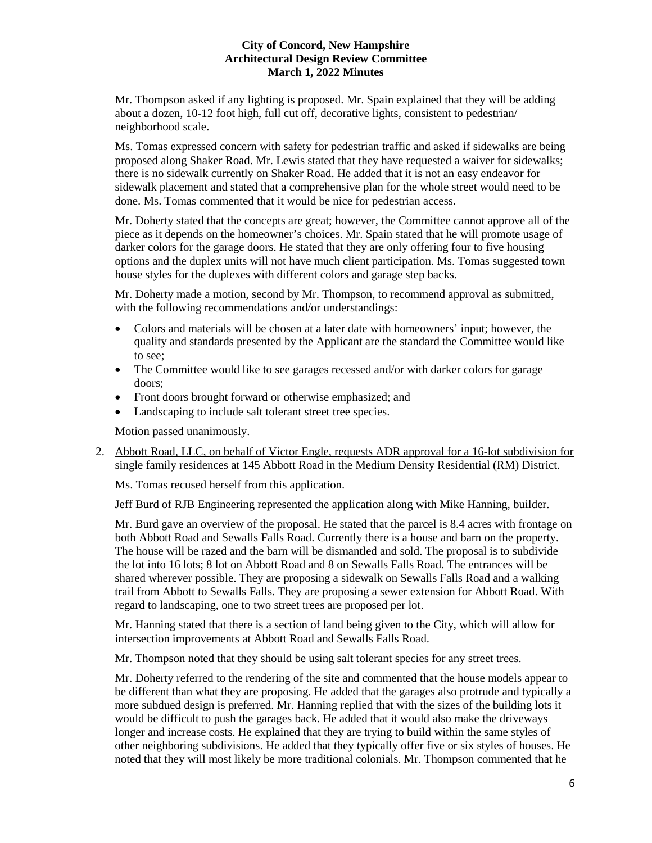Mr. Thompson asked if any lighting is proposed. Mr. Spain explained that they will be adding about a dozen, 10-12 foot high, full cut off, decorative lights, consistent to pedestrian/ neighborhood scale.

Ms. Tomas expressed concern with safety for pedestrian traffic and asked if sidewalks are being proposed along Shaker Road. Mr. Lewis stated that they have requested a waiver for sidewalks; there is no sidewalk currently on Shaker Road. He added that it is not an easy endeavor for sidewalk placement and stated that a comprehensive plan for the whole street would need to be done. Ms. Tomas commented that it would be nice for pedestrian access.

Mr. Doherty stated that the concepts are great; however, the Committee cannot approve all of the piece as it depends on the homeowner's choices. Mr. Spain stated that he will promote usage of darker colors for the garage doors. He stated that they are only offering four to five housing options and the duplex units will not have much client participation. Ms. Tomas suggested town house styles for the duplexes with different colors and garage step backs.

Mr. Doherty made a motion, second by Mr. Thompson, to recommend approval as submitted, with the following recommendations and/or understandings:

- Colors and materials will be chosen at a later date with homeowners' input; however, the quality and standards presented by the Applicant are the standard the Committee would like to see;
- The Committee would like to see garages recessed and/or with darker colors for garage doors;
- Front doors brought forward or otherwise emphasized; and
- Landscaping to include salt tolerant street tree species.

Motion passed unanimously.

2. Abbott Road, LLC, on behalf of Victor Engle, requests ADR approval for a 16-lot subdivision for single family residences at 145 Abbott Road in the Medium Density Residential (RM) District.

Ms. Tomas recused herself from this application.

Jeff Burd of RJB Engineering represented the application along with Mike Hanning, builder.

Mr. Burd gave an overview of the proposal. He stated that the parcel is 8.4 acres with frontage on both Abbott Road and Sewalls Falls Road. Currently there is a house and barn on the property. The house will be razed and the barn will be dismantled and sold. The proposal is to subdivide the lot into 16 lots; 8 lot on Abbott Road and 8 on Sewalls Falls Road. The entrances will be shared wherever possible. They are proposing a sidewalk on Sewalls Falls Road and a walking trail from Abbott to Sewalls Falls. They are proposing a sewer extension for Abbott Road. With regard to landscaping, one to two street trees are proposed per lot.

Mr. Hanning stated that there is a section of land being given to the City, which will allow for intersection improvements at Abbott Road and Sewalls Falls Road.

Mr. Thompson noted that they should be using salt tolerant species for any street trees.

Mr. Doherty referred to the rendering of the site and commented that the house models appear to be different than what they are proposing. He added that the garages also protrude and typically a more subdued design is preferred. Mr. Hanning replied that with the sizes of the building lots it would be difficult to push the garages back. He added that it would also make the driveways longer and increase costs. He explained that they are trying to build within the same styles of other neighboring subdivisions. He added that they typically offer five or six styles of houses. He noted that they will most likely be more traditional colonials. Mr. Thompson commented that he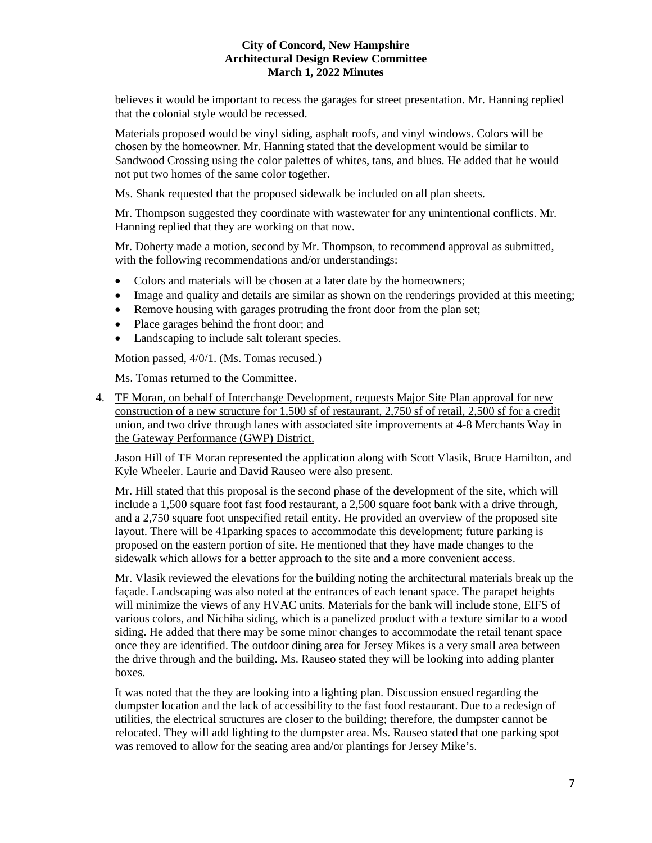believes it would be important to recess the garages for street presentation. Mr. Hanning replied that the colonial style would be recessed.

Materials proposed would be vinyl siding, asphalt roofs, and vinyl windows. Colors will be chosen by the homeowner. Mr. Hanning stated that the development would be similar to Sandwood Crossing using the color palettes of whites, tans, and blues. He added that he would not put two homes of the same color together.

Ms. Shank requested that the proposed sidewalk be included on all plan sheets.

Mr. Thompson suggested they coordinate with wastewater for any unintentional conflicts. Mr. Hanning replied that they are working on that now.

Mr. Doherty made a motion, second by Mr. Thompson, to recommend approval as submitted, with the following recommendations and/or understandings:

- Colors and materials will be chosen at a later date by the homeowners;
- Image and quality and details are similar as shown on the renderings provided at this meeting;
- Remove housing with garages protruding the front door from the plan set;
- Place garages behind the front door; and
- Landscaping to include salt tolerant species.

Motion passed, 4/0/1. (Ms. Tomas recused.)

Ms. Tomas returned to the Committee.

4. TF Moran, on behalf of Interchange Development, requests Major Site Plan approval for new construction of a new structure for 1,500 sf of restaurant, 2,750 sf of retail, 2,500 sf for a credit union, and two drive through lanes with associated site improvements at 4-8 Merchants Way in the Gateway Performance (GWP) District.

Jason Hill of TF Moran represented the application along with Scott Vlasik, Bruce Hamilton, and Kyle Wheeler. Laurie and David Rauseo were also present.

Mr. Hill stated that this proposal is the second phase of the development of the site, which will include a 1,500 square foot fast food restaurant, a 2,500 square foot bank with a drive through, and a 2,750 square foot unspecified retail entity. He provided an overview of the proposed site layout. There will be 41parking spaces to accommodate this development; future parking is proposed on the eastern portion of site. He mentioned that they have made changes to the sidewalk which allows for a better approach to the site and a more convenient access.

Mr. Vlasik reviewed the elevations for the building noting the architectural materials break up the façade. Landscaping was also noted at the entrances of each tenant space. The parapet heights will minimize the views of any HVAC units. Materials for the bank will include stone, EIFS of various colors, and Nichiha siding, which is a panelized product with a texture similar to a wood siding. He added that there may be some minor changes to accommodate the retail tenant space once they are identified. The outdoor dining area for Jersey Mikes is a very small area between the drive through and the building. Ms. Rauseo stated they will be looking into adding planter boxes.

It was noted that the they are looking into a lighting plan. Discussion ensued regarding the dumpster location and the lack of accessibility to the fast food restaurant. Due to a redesign of utilities, the electrical structures are closer to the building; therefore, the dumpster cannot be relocated. They will add lighting to the dumpster area. Ms. Rauseo stated that one parking spot was removed to allow for the seating area and/or plantings for Jersey Mike's.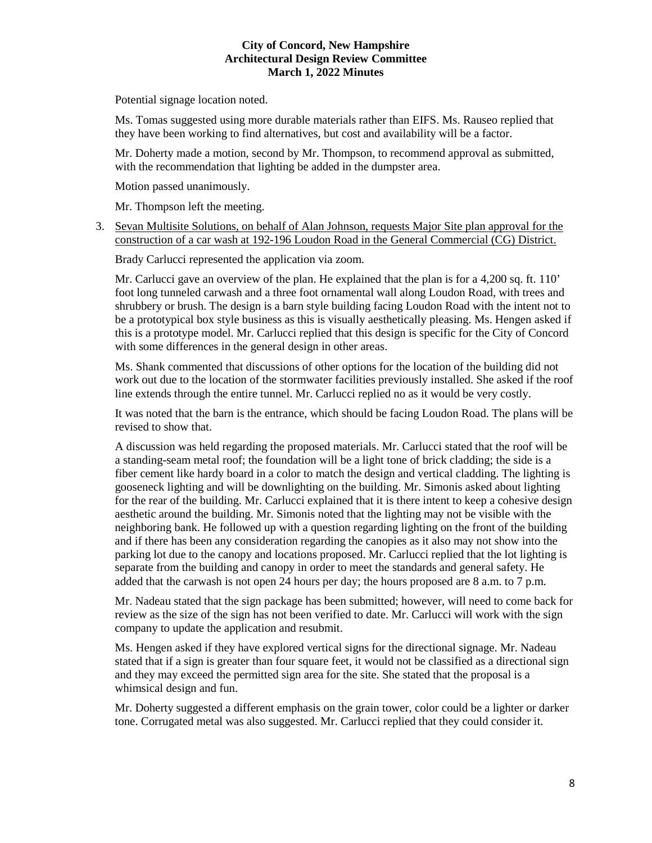Potential signage location noted.

Ms. Tomas suggested using more durable materials rather than EIFS. Ms. Rauseo replied that they have been working to find alternatives, but cost and availability will be a factor.

Mr. Doherty made a motion, second by Mr. Thompson, to recommend approval as submitted, with the recommendation that lighting be added in the dumpster area.

Motion passed unanimously.

Mr. Thompson left the meeting.

3. Sevan Multisite Solutions, on behalf of Alan Johnson, requests Major Site plan approval for the construction of a car wash at 192-196 Loudon Road in the General Commercial (CG) District.

Brady Carlucci represented the application via zoom.

Mr. Carlucci gave an overview of the plan. He explained that the plan is for a 4,200 sq. ft. 110' foot long tunneled carwash and a three foot ornamental wall along Loudon Road, with trees and shrubbery or brush. The design is a barn style building facing Loudon Road with the intent not to be a prototypical box style business as this is visually aesthetically pleasing. Ms. Hengen asked if this is a prototype model. Mr. Carlucci replied that this design is specific for the City of Concord with some differences in the general design in other areas.

Ms. Shank commented that discussions of other options for the location of the building did not work out due to the location of the stormwater facilities previously installed. She asked if the roof line extends through the entire tunnel. Mr. Carlucci replied no as it would be very costly.

It was noted that the barn is the entrance, which should be facing Loudon Road. The plans will be revised to show that.

A discussion was held regarding the proposed materials. Mr. Carlucci stated that the roof will be a standing-seam metal roof; the foundation will be a light tone of brick cladding; the side is a fiber cement like hardy board in a color to match the design and vertical cladding. The lighting is gooseneck lighting and will be downlighting on the building. Mr. Simonis asked about lighting for the rear of the building. Mr. Carlucci explained that it is there intent to keep a cohesive design aesthetic around the building. Mr. Simonis noted that the lighting may not be visible with the neighboring bank. He followed up with a question regarding lighting on the front of the building and if there has been any consideration regarding the canopies as it also may not show into the parking lot due to the canopy and locations proposed. Mr. Carlucci replied that the lot lighting is separate from the building and canopy in order to meet the standards and general safety. He added that the carwash is not open 24 hours per day; the hours proposed are 8 a.m. to 7 p.m.

Mr. Nadeau stated that the sign package has been submitted; however, will need to come back for review as the size of the sign has not been verified to date. Mr. Carlucci will work with the sign company to update the application and resubmit.

Ms. Hengen asked if they have explored vertical signs for the directional signage. Mr. Nadeau stated that if a sign is greater than four square feet, it would not be classified as a directional sign and they may exceed the permitted sign area for the site. She stated that the proposal is a whimsical design and fun.

Mr. Doherty suggested a different emphasis on the grain tower, color could be a lighter or darker tone. Corrugated metal was also suggested. Mr. Carlucci replied that they could consider it.